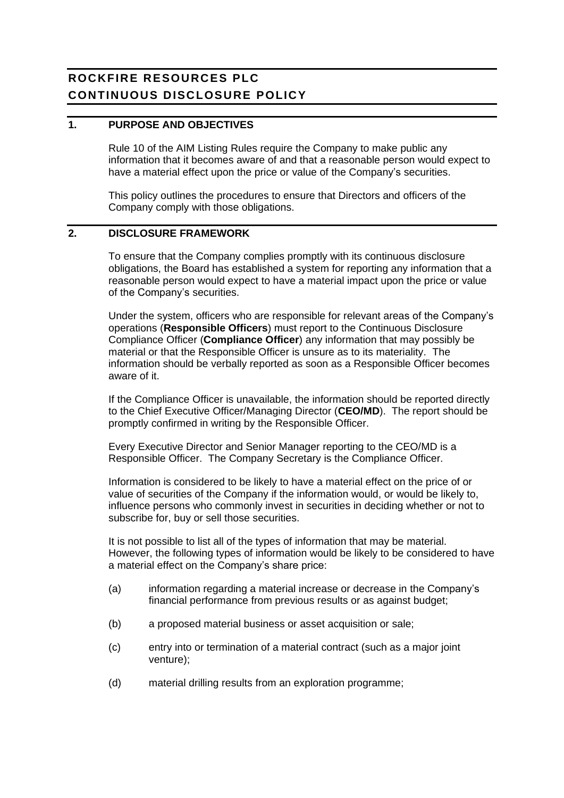# **ROCKFIRE RESOURCES PLC CONTINUOUS DISCLOSURE POLICY**

#### **1. PURPOSE AND OBJECTIVES**

Rule 10 of the AIM Listing Rules require the Company to make public any information that it becomes aware of and that a reasonable person would expect to have a material effect upon the price or value of the Company's securities.

This policy outlines the procedures to ensure that Directors and officers of the Company comply with those obligations.

# **2. DISCLOSURE FRAMEWORK**

To ensure that the Company complies promptly with its continuous disclosure obligations, the Board has established a system for reporting any information that a reasonable person would expect to have a material impact upon the price or value of the Company's securities.

Under the system, officers who are responsible for relevant areas of the Company's operations (**Responsible Officers**) must report to the Continuous Disclosure Compliance Officer (**Compliance Officer**) any information that may possibly be material or that the Responsible Officer is unsure as to its materiality. The information should be verbally reported as soon as a Responsible Officer becomes aware of it.

If the Compliance Officer is unavailable, the information should be reported directly to the Chief Executive Officer/Managing Director (**CEO/MD**). The report should be promptly confirmed in writing by the Responsible Officer.

Every Executive Director and Senior Manager reporting to the CEO/MD is a Responsible Officer. The Company Secretary is the Compliance Officer.

Information is considered to be likely to have a material effect on the price of or value of securities of the Company if the information would, or would be likely to, influence persons who commonly invest in securities in deciding whether or not to subscribe for, buy or sell those securities.

It is not possible to list all of the types of information that may be material. However, the following types of information would be likely to be considered to have a material effect on the Company's share price:

- (a) information regarding a material increase or decrease in the Company's financial performance from previous results or as against budget;
- (b) a proposed material business or asset acquisition or sale;
- (c) entry into or termination of a material contract (such as a major joint venture);
- (d) material drilling results from an exploration programme;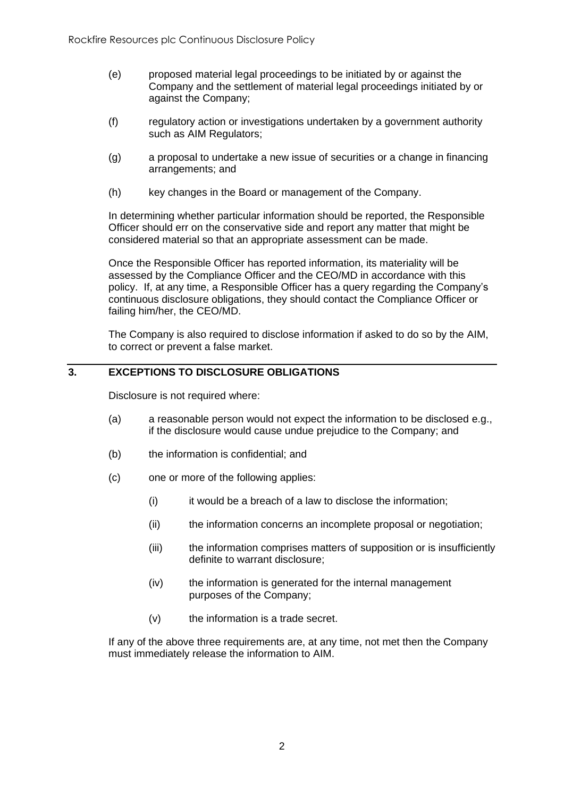- (e) proposed material legal proceedings to be initiated by or against the Company and the settlement of material legal proceedings initiated by or against the Company;
- (f) regulatory action or investigations undertaken by a government authority such as AIM Regulators;
- (g) a proposal to undertake a new issue of securities or a change in financing arrangements; and
- (h) key changes in the Board or management of the Company.

In determining whether particular information should be reported, the Responsible Officer should err on the conservative side and report any matter that might be considered material so that an appropriate assessment can be made.

Once the Responsible Officer has reported information, its materiality will be assessed by the Compliance Officer and the CEO/MD in accordance with this policy. If, at any time, a Responsible Officer has a query regarding the Company's continuous disclosure obligations, they should contact the Compliance Officer or failing him/her, the CEO/MD.

The Company is also required to disclose information if asked to do so by the AIM, to correct or prevent a false market.

# **3. EXCEPTIONS TO DISCLOSURE OBLIGATIONS**

Disclosure is not required where:

- (a) a reasonable person would not expect the information to be disclosed e.g., if the disclosure would cause undue prejudice to the Company; and
- (b) the information is confidential; and
- (c) one or more of the following applies:
	- (i) it would be a breach of a law to disclose the information;
	- (ii) the information concerns an incomplete proposal or negotiation;
	- (iii) the information comprises matters of supposition or is insufficiently definite to warrant disclosure;
	- (iv) the information is generated for the internal management purposes of the Company;
	- (v) the information is a trade secret.

If any of the above three requirements are, at any time, not met then the Company must immediately release the information to AIM.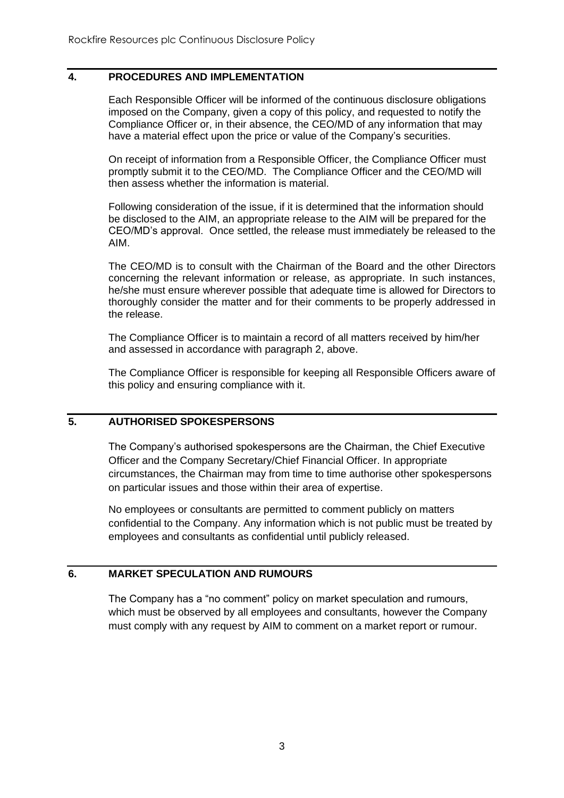#### **4. PROCEDURES AND IMPLEMENTATION**

Each Responsible Officer will be informed of the continuous disclosure obligations imposed on the Company, given a copy of this policy, and requested to notify the Compliance Officer or, in their absence, the CEO/MD of any information that may have a material effect upon the price or value of the Company's securities.

On receipt of information from a Responsible Officer, the Compliance Officer must promptly submit it to the CEO/MD. The Compliance Officer and the CEO/MD will then assess whether the information is material.

Following consideration of the issue, if it is determined that the information should be disclosed to the AIM, an appropriate release to the AIM will be prepared for the CEO/MD's approval. Once settled, the release must immediately be released to the AIM.

The CEO/MD is to consult with the Chairman of the Board and the other Directors concerning the relevant information or release, as appropriate. In such instances, he/she must ensure wherever possible that adequate time is allowed for Directors to thoroughly consider the matter and for their comments to be properly addressed in the release.

The Compliance Officer is to maintain a record of all matters received by him/her and assessed in accordance with paragraph 2, above.

The Compliance Officer is responsible for keeping all Responsible Officers aware of this policy and ensuring compliance with it.

# **5. AUTHORISED SPOKESPERSONS**

The Company's authorised spokespersons are the Chairman, the Chief Executive Officer and the Company Secretary/Chief Financial Officer. In appropriate circumstances, the Chairman may from time to time authorise other spokespersons on particular issues and those within their area of expertise.

No employees or consultants are permitted to comment publicly on matters confidential to the Company. Any information which is not public must be treated by employees and consultants as confidential until publicly released.

## **6. MARKET SPECULATION AND RUMOURS**

The Company has a "no comment" policy on market speculation and rumours, which must be observed by all employees and consultants, however the Company must comply with any request by AIM to comment on a market report or rumour.